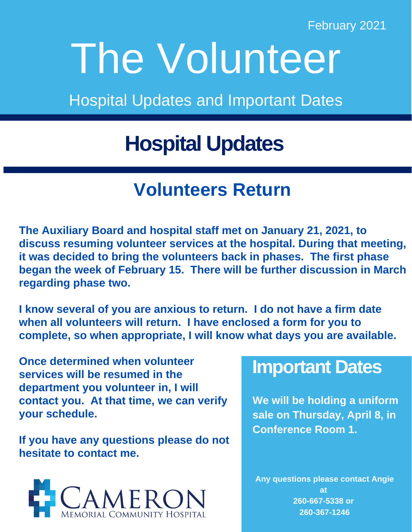February 2021

# The Volunteer

Hospital Updates and Important Dates

# **Hospital Updates**

### **Volunteers Return**

**The Auxiliary Board and hospital staff met on January 21, 2021, to discuss resuming volunteer services at the hospital. During that meeting, it was decided to bring the volunteers back in phases. The first phase began the week of February 15. There will be further discussion in March regarding phase two.**

**I know several of you are anxious to return. I do not have a firm date when all volunteers will return. I have enclosed a form for you to complete, so when appropriate, I will know what days you are available.** 

**Once determined when volunteer services will be resumed in the department you volunteer in, I will contact you. At that time, we can verify your schedule.** 

**If you have any questions please do not hesitate to contact me.**



#### **Important Dates**

**We will be holding a uniform sale on Thursday, April 8, in Conference Room 1.**

**Any questions please contact Angie at 260-667-5338 or 260-367-1246**